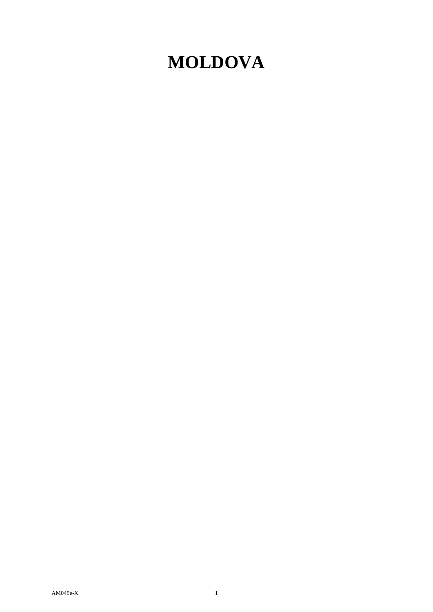## **MOLDOVA**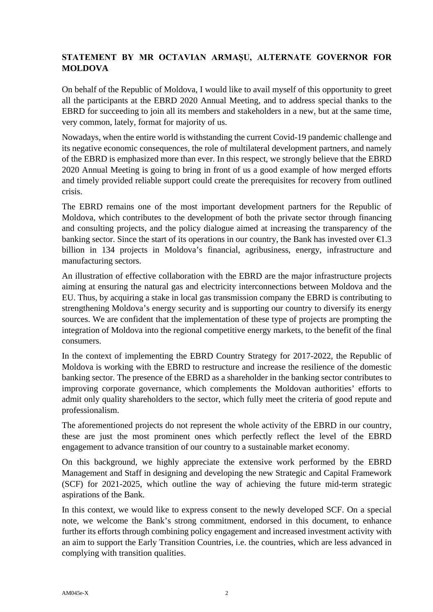## **STATEMENT BY MR OCTAVIAN ARMAȘU, ALTERNATE GOVERNOR FOR MOLDOVA**

On behalf of the Republic of Moldova, I would like to avail myself of this opportunity to greet all the participants at the EBRD 2020 Annual Meeting, and to address special thanks to the EBRD for succeeding to join all its members and stakeholders in a new, but at the same time, very common, lately, format for majority of us.

Nowadays, when the entire world is withstanding the current Covid-19 pandemic challenge and its negative economic consequences, the role of multilateral development partners, and namely of the EBRD is emphasized more than ever. In this respect, we strongly believe that the EBRD 2020 Annual Meeting is going to bring in front of us a good example of how merged efforts and timely provided reliable support could create the prerequisites for recovery from outlined crisis.

The EBRD remains one of the most important development partners for the Republic of Moldova, which contributes to the development of both the private sector through financing and consulting projects, and the policy dialogue aimed at increasing the transparency of the banking sector. Since the start of its operations in our country, the Bank has invested over  $\epsilon 1.3$ billion in 134 projects in Moldova's financial, agribusiness, energy, infrastructure and manufacturing sectors.

An illustration of effective collaboration with the EBRD are the major infrastructure projects aiming at ensuring the natural gas and electricity interconnections between Moldova and the EU. Thus, by acquiring a stake in local gas transmission company the EBRD is contributing to strengthening Moldova's energy security and is supporting our country to diversify its energy sources. We are confident that the implementation of these type of projects are prompting the integration of Moldova into the regional competitive energy markets, to the benefit of the final consumers.

In the context of implementing the EBRD Country Strategy for 2017-2022, the Republic of Moldova is working with the EBRD to restructure and increase the resilience of the domestic banking sector. The presence of the EBRD as a shareholder in the banking sector contributes to improving corporate governance, which complements the Moldovan authorities' efforts to admit only quality shareholders to the sector, which fully meet the criteria of good repute and professionalism.

The aforementioned projects do not represent the whole activity of the EBRD in our country, these are just the most prominent ones which perfectly reflect the level of the EBRD engagement to advance transition of our country to a sustainable market economy.

On this background, we highly appreciate the extensive work performed by the EBRD Management and Staff in designing and developing the new Strategic and Capital Framework (SCF) for 2021-2025, which outline the way of achieving the future mid-term strategic aspirations of the Bank.

In this context, we would like to express consent to the newly developed SCF. On a special note, we welcome the Bank's strong commitment, endorsed in this document, to enhance further its efforts through combining policy engagement and increased investment activity with an aim to support the Early Transition Countries, i.e. the countries, which are less advanced in complying with transition qualities.